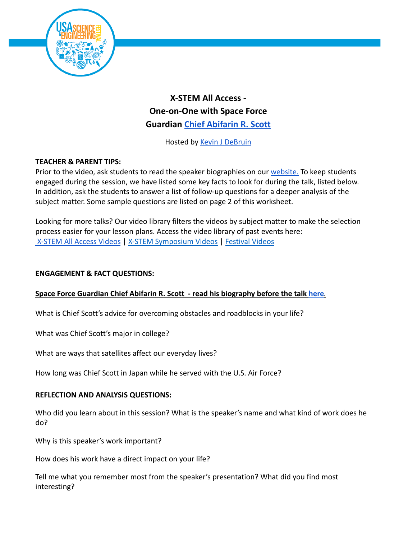

# **X-STEM All Access - One-on-One with Space Force Guardian Chief [Abifarin](https://usasciencefestival.org/people/abifarin-scott/) R. Scott**

Hosted by [Kevin J DeBruin](https://usasciencefestival.org/people/kevin-debruin/)

## **TEACHER & PARENT TIPS:**

Prior to the video, ask students to read the speaker biographies on our [website.](https://usasciencefestival.org/x-stem-all-access-2022/) To keep students engaged during the session, we have listed some key facts to look for during the talk, listed below. In addition, ask the students to answer a list of follow-up questions for a deeper analysis of the subject matter. Some sample questions are listed on page 2 of this worksheet.

Looking for more talks? Our video library filters the videos by subject matter to make the selection process easier for your lesson plans. Access the video library of past events here: [X-STEM All Access Videos](https://usasciencefestival.org/xstem-all-access-videos/) | [X-STEM Symposium Videos](https://usasciencefestival.org/xstem-videos/) | [Festival Videos](https://usasciencefestival.org/festival-expo-videos/)

### **ENGAGEMENT & FACT QUESTIONS:**

#### **Space Force Guardian Chief Abifarin R. Scott - read his biography before the talk [here](https://usasciencefestival.org/people/abifarin-scott/)***.*

What is Chief Scott's advice for overcoming obstacles and roadblocks in your life?

What was Chief Scott's major in college?

What are ways that satellites affect our everyday lives?

How long was Chief Scott in Japan while he served with the U.S. Air Force?

#### **REFLECTION AND ANALYSIS QUESTIONS:**

Who did you learn about in this session? What is the speaker's name and what kind of work does he do?

Why is this speaker's work important?

How does his work have a direct impact on your life?

Tell me what you remember most from the speaker's presentation? What did you find most interesting?